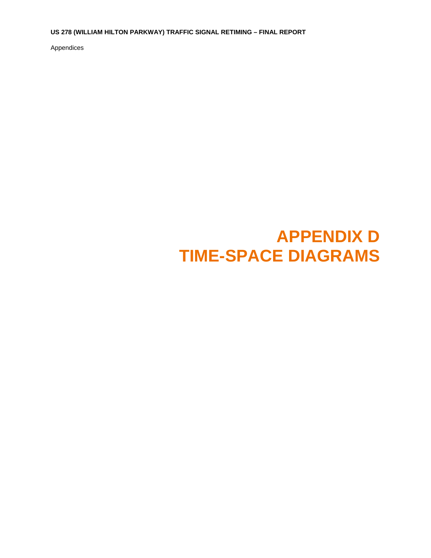**US 278 (WILLIAM HILTON PARKWAY) TRAFFIC SIGNAL RETIMING – FINAL REPORT** 

Appendices

## **APPENDIX D TIME-SPACE DIAGRAMS**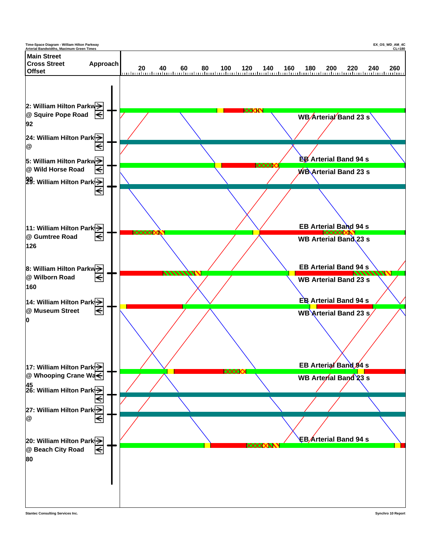

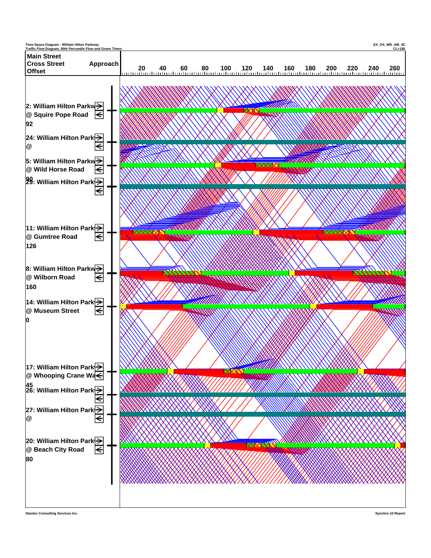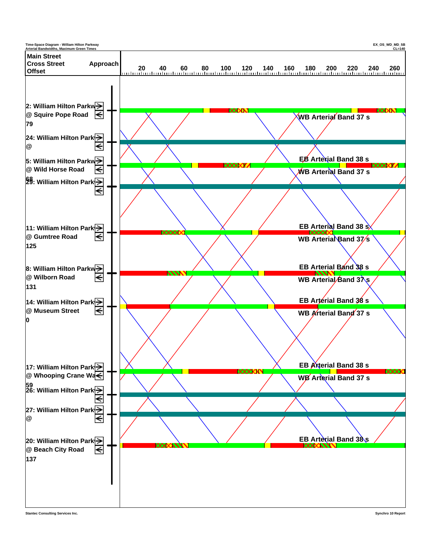

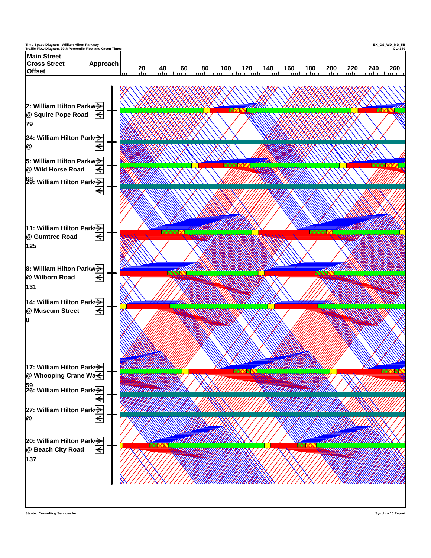

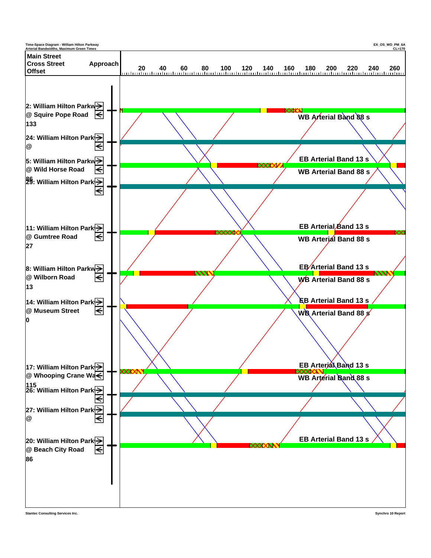

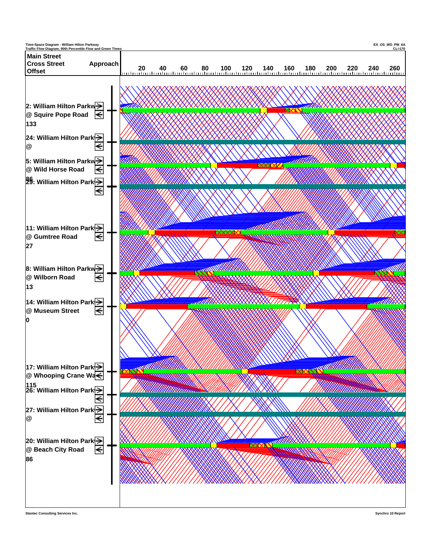

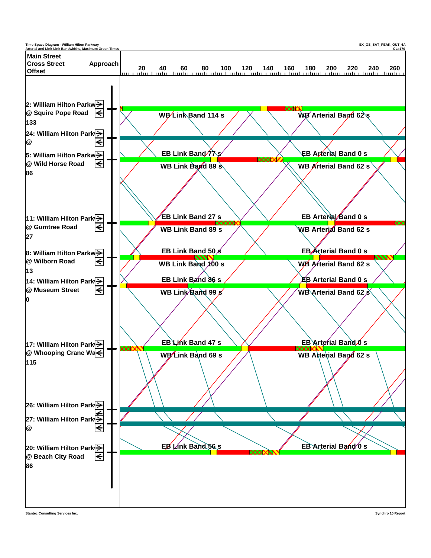

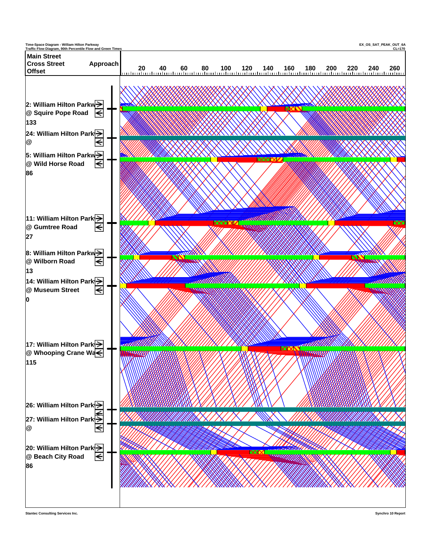

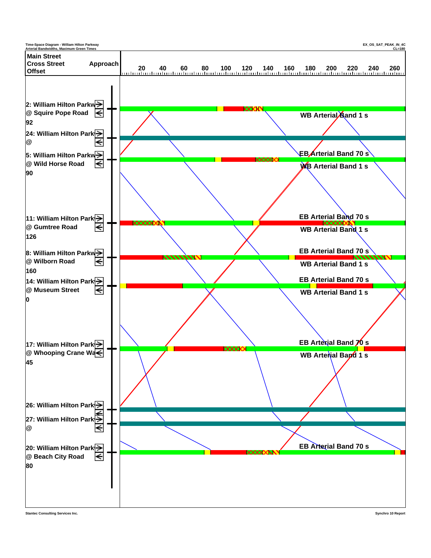

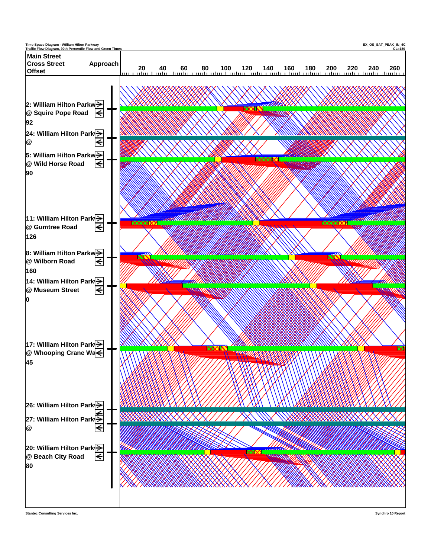

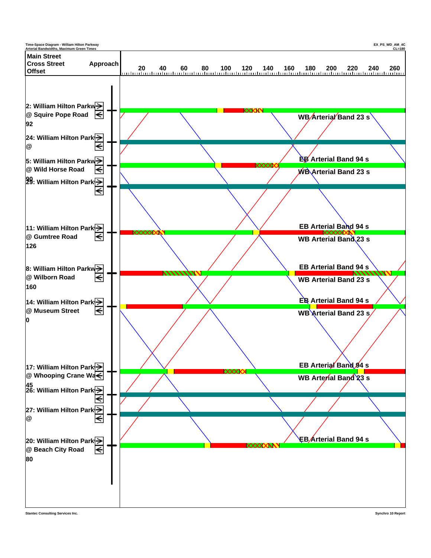

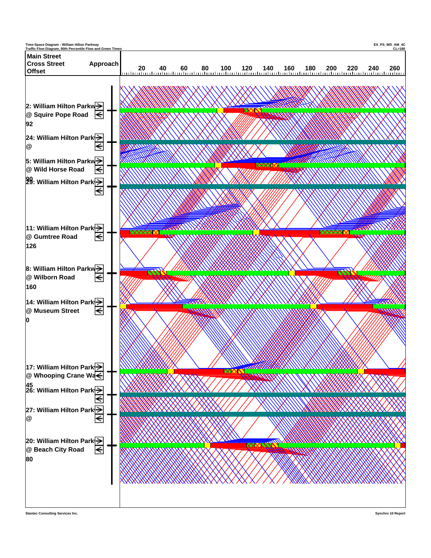



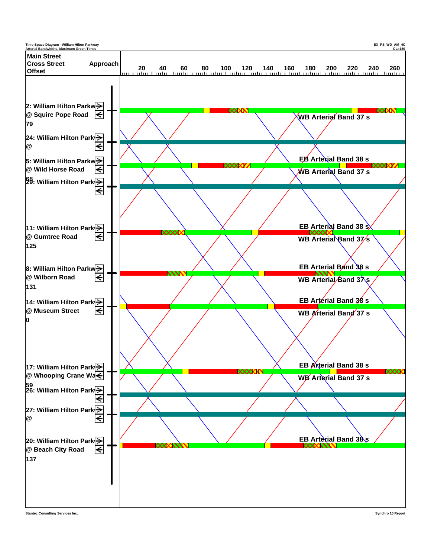

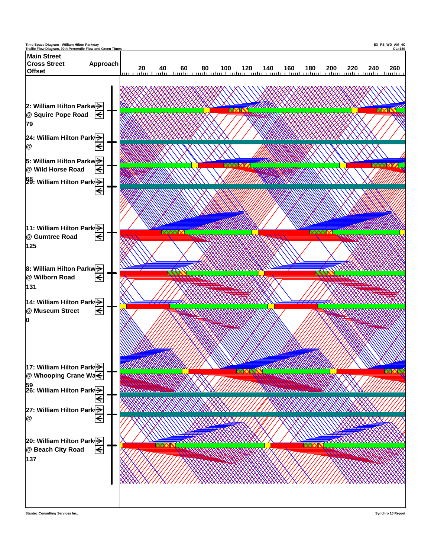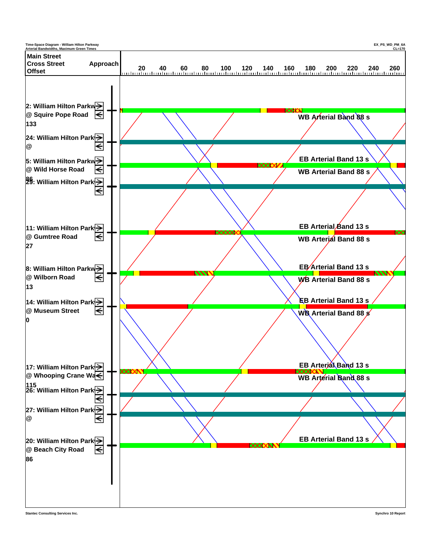

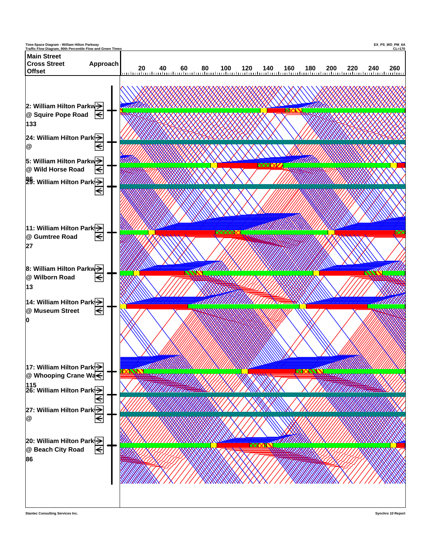

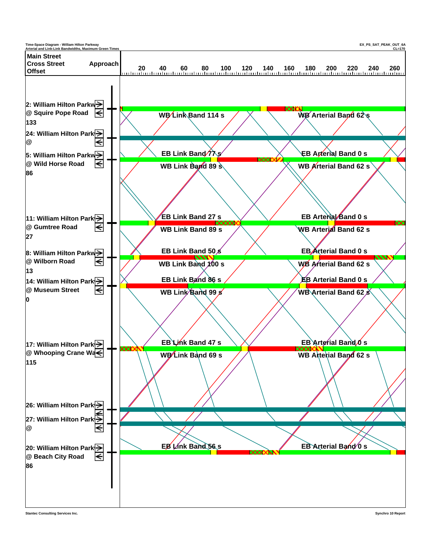

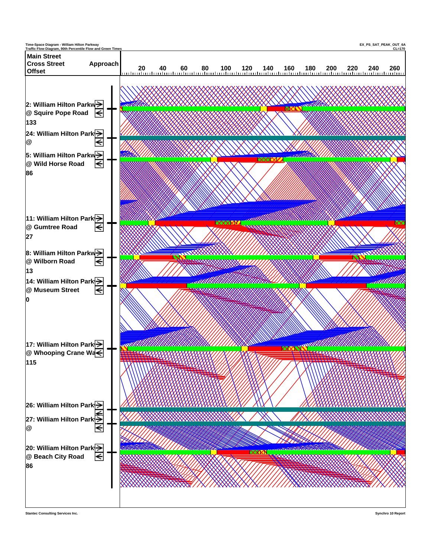

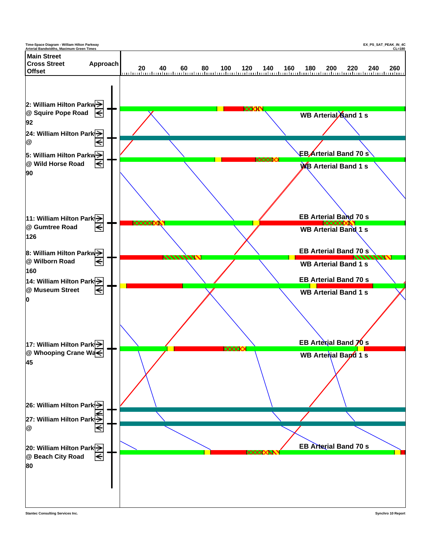

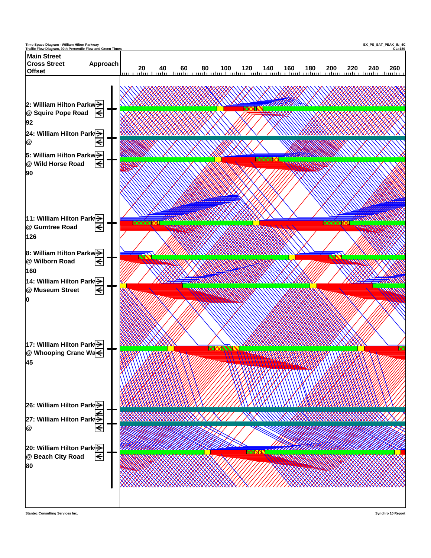

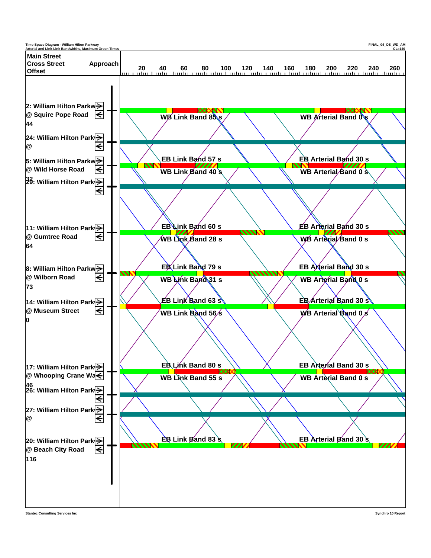

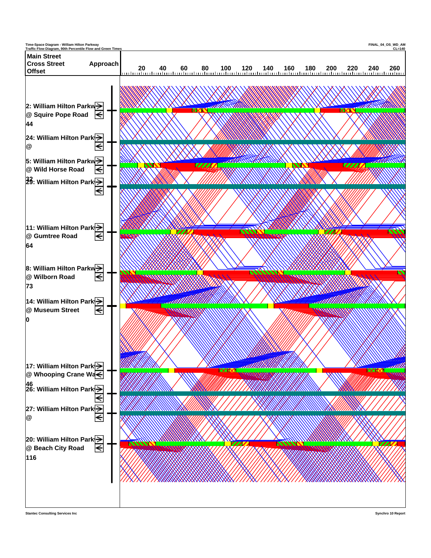

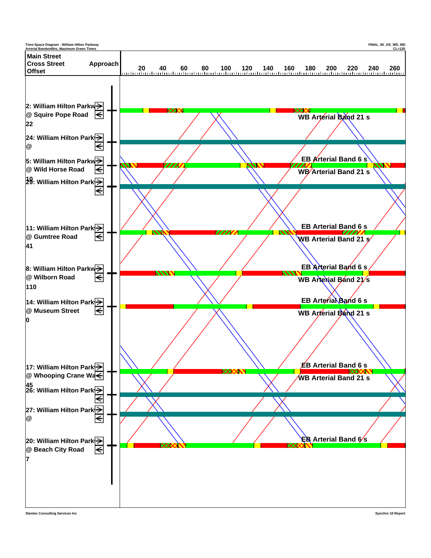

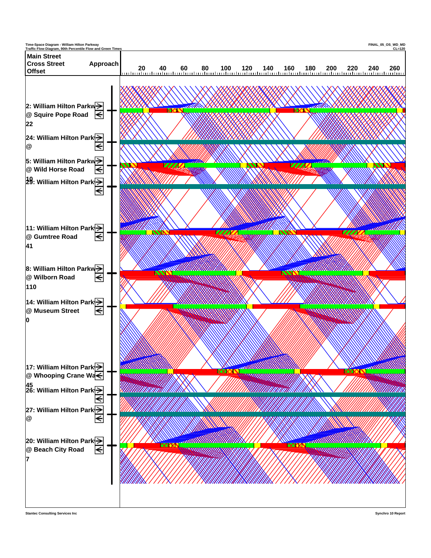

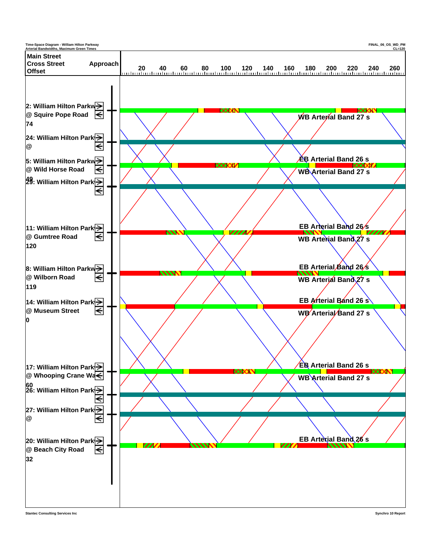

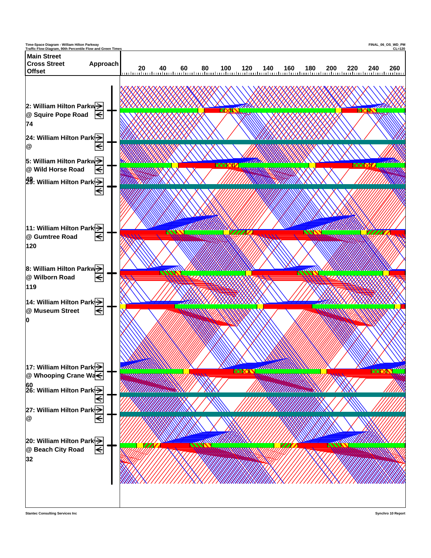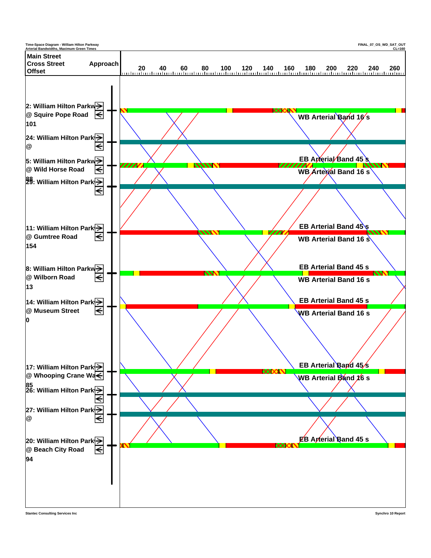

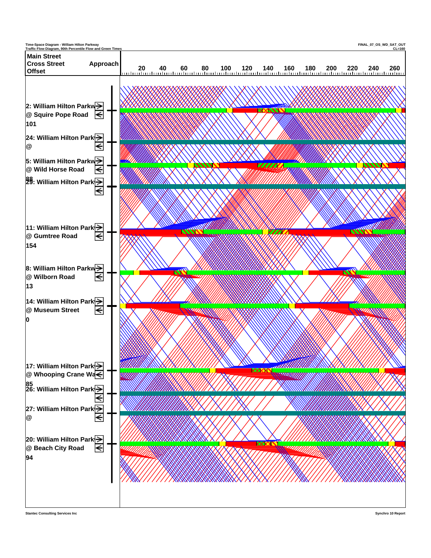

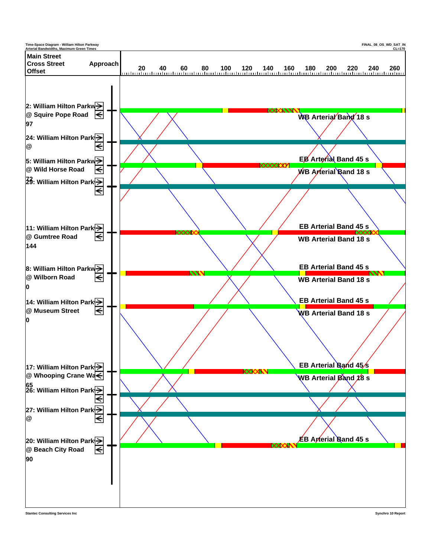

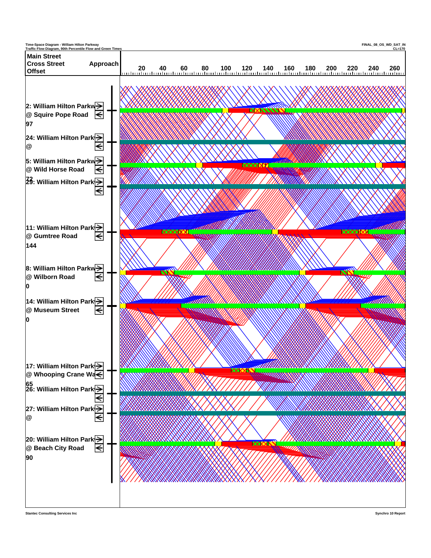

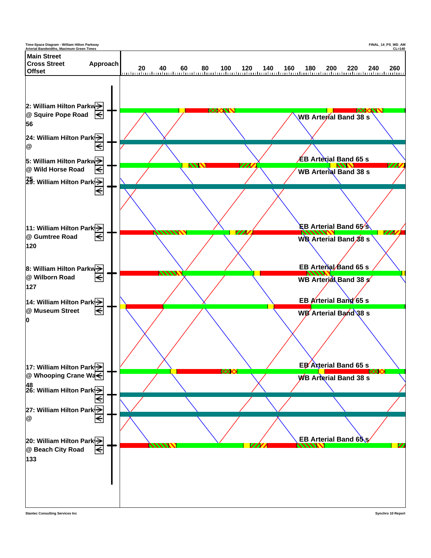

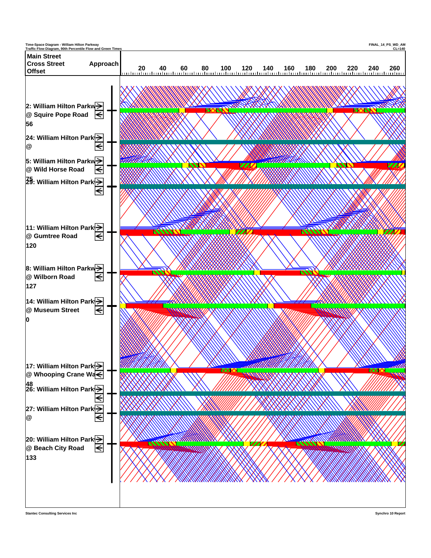

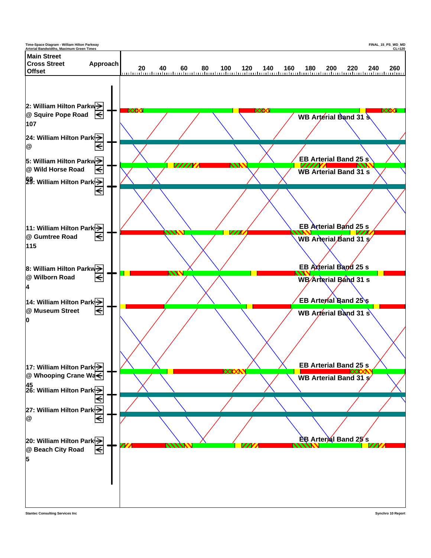

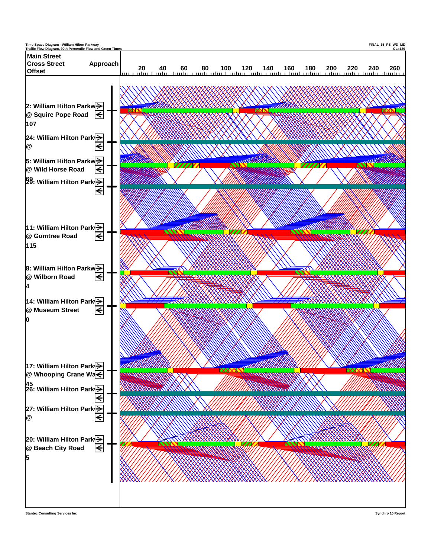

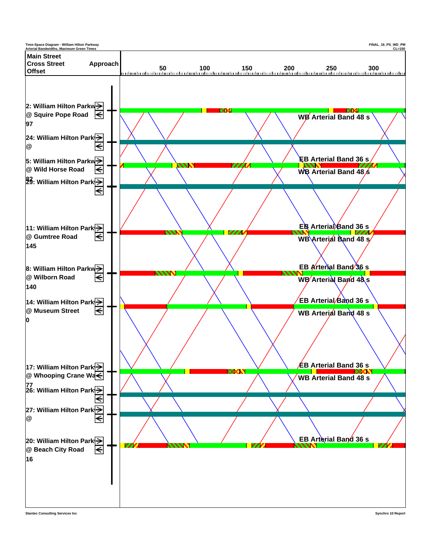

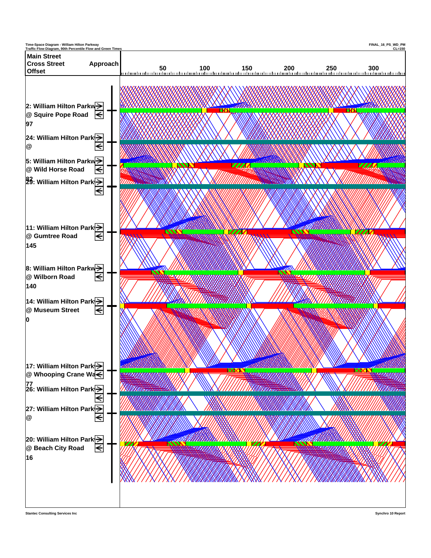

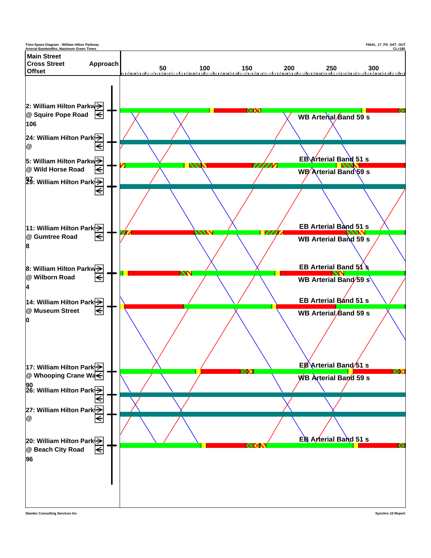

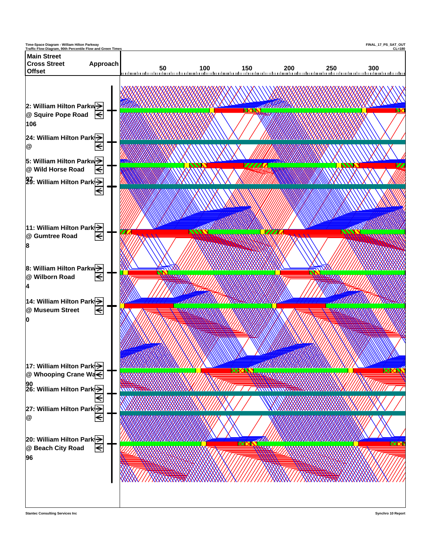![](_page_38_Figure_0.jpeg)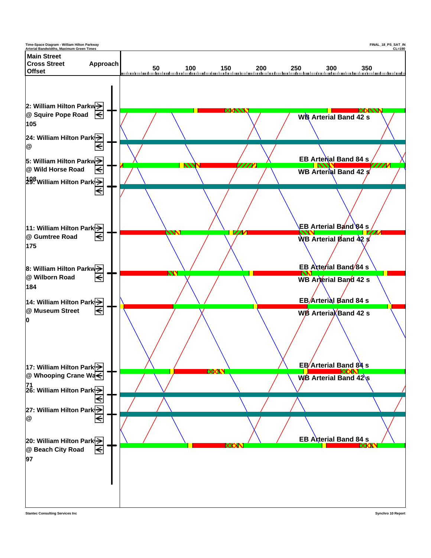![](_page_39_Figure_0.jpeg)

![](_page_39_Figure_2.jpeg)